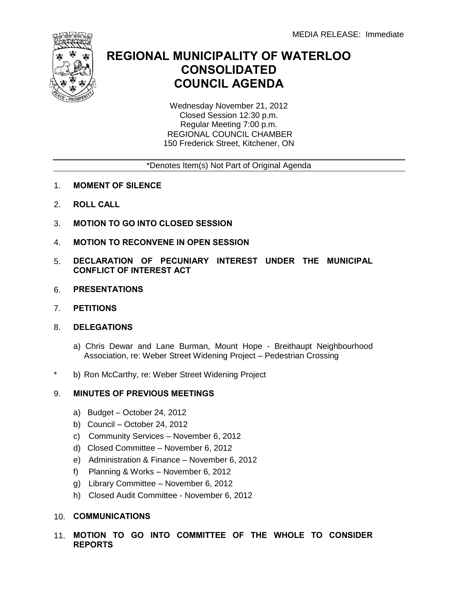

## **REGIONAL MUNICIPALITY OF WATERLOO CONSOLIDATED COUNCIL AGENDA**

Wednesday November 21, 2012 Closed Session 12:30 p.m. Regular Meeting 7:00 p.m. REGIONAL COUNCIL CHAMBER 150 Frederick Street, Kitchener, ON

## \*Denotes Item(s) Not Part of Original Agenda

- 1. **MOMENT OF SILENCE**
- 2. **ROLL CALL**
- 3. **MOTION TO GO INTO CLOSED SESSION**
- 4. **MOTION TO RECONVENE IN OPEN SESSION**
- 5. **DECLARATION OF PECUNIARY INTEREST UNDER THE MUNICIPAL CONFLICT OF INTEREST ACT**
- 6. **PRESENTATIONS**
- 7. **PETITIONS**
- 8. **DELEGATIONS**
	- a) Chris Dewar and Lane Burman, Mount Hope Breithaupt Neighbourhood Association, re: Weber Street Widening Project – Pedestrian Crossing
- \* b) Ron McCarthy, re: Weber Street Widening Project

## 9. **MINUTES OF PREVIOUS MEETINGS**

- a) Budget October 24, 2012
- b) Council October 24, 2012
- c) Community Services November 6, 2012
- d) Closed Committee November 6, 2012
- e) Administration & Finance November 6, 2012
- f) Planning & Works November 6, 2012
- g) Library Committee November 6, 2012
- h) Closed Audit Committee November 6, 2012
- 10. **COMMUNICATIONS**
- 11. **MOTION TO GO INTO COMMITTEE OF THE WHOLE TO CONSIDER REPORTS**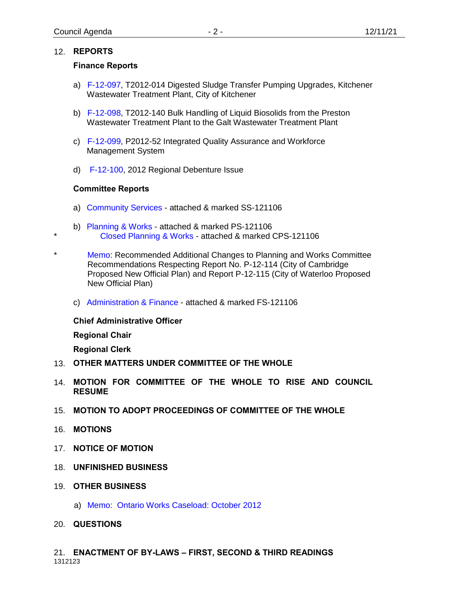## 12. **REPORTS**

## **Finance Reports**

- a) [F-12-097,](#page-3-0) T2012-014 Digested Sludge Transfer Pumping Upgrades, Kitchener Wastewater Treatment Plant, City of Kitchener
- b) [F-12-098,](#page-5-0) T2012-140 Bulk Handling of Liquid Biosolids from the Preston Wastewater Treatment Plant to the Galt Wastewater Treatment Plant
- c) [F-12-099,](#page-7-0) P2012-52 Integrated Quality Assurance and Workforce Management System
- d) [F-12-100,](#page-9-0) 2012 Regional Debenture Issue

## **Committee Reports**

\*

- a) [Community Services](#page-12-0) attached & marked SS-121106
- b) [Planning & Works](#page-13-0) attached & marked PS-121106 [Closed Planning & Works](#page-20-0) - attached & marked CPS-121106
- \* Memo: Recommended Additional Changes to Planning and Works Committee Recommendations Respecting Report No. P-12-114 (City of Cambridge Proposed New Official Plan) and Report P-12-115 (City of Waterloo Proposed New Official Plan)
	- c) [Administration & Finance](#page-25-0) attached & marked FS-121106

## **Chief Administrative Officer**

**Regional Chair**

**Regional Clerk**

- 13. **OTHER MATTERS UNDER COMMITTEE OF THE WHOLE**
- 14. **MOTION FOR COMMITTEE OF THE WHOLE TO RISE AND COUNCIL RESUME**
- 15. **MOTION TO ADOPT PROCEEDINGS OF COMMITTEE OF THE WHOLE**
- 16. **MOTIONS**
- 17. **NOTICE OF MOTION**
- 18. **UNFINISHED BUSINESS**
- 19. **OTHER BUSINESS**
	- a) [Memo: Ontario Works Caseload: October](#page-26-0) 2012
- 20. **QUESTIONS**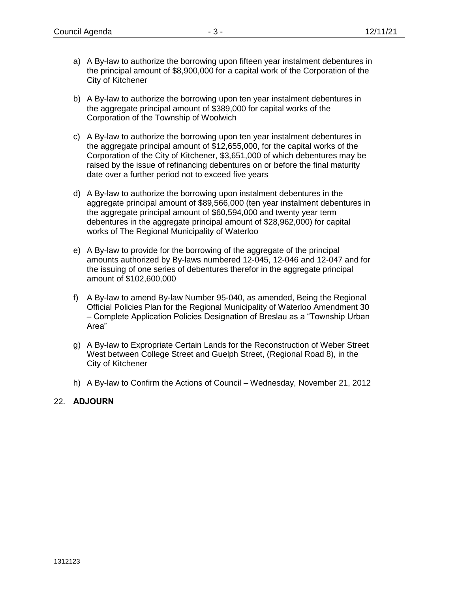- a) A By-law to authorize the borrowing upon fifteen year instalment debentures in the principal amount of \$8,900,000 for a capital work of the Corporation of the City of Kitchener
- b) A By-law to authorize the borrowing upon ten year instalment debentures in the aggregate principal amount of \$389,000 for capital works of the Corporation of the Township of Woolwich
- c) A By-law to authorize the borrowing upon ten year instalment debentures in the aggregate principal amount of \$12,655,000, for the capital works of the Corporation of the City of Kitchener, \$3,651,000 of which debentures may be raised by the issue of refinancing debentures on or before the final maturity date over a further period not to exceed five years
- d) A By-law to authorize the borrowing upon instalment debentures in the aggregate principal amount of \$89,566,000 (ten year instalment debentures in the aggregate principal amount of \$60,594,000 and twenty year term debentures in the aggregate principal amount of \$28,962,000) for capital works of The Regional Municipality of Waterloo
- e) A By-law to provide for the borrowing of the aggregate of the principal amounts authorized by By-laws numbered 12-045, 12-046 and 12-047 and for the issuing of one series of debentures therefor in the aggregate principal amount of \$102,600,000
- f) A By-law to amend By-law Number 95-040, as amended, Being the Regional Official Policies Plan for the Regional Municipality of Waterloo Amendment 30 – Complete Application Policies Designation of Breslau as a "Township Urban Area"
- g) A By-law to Expropriate Certain Lands for the Reconstruction of Weber Street West between College Street and Guelph Street, (Regional Road 8), in the City of Kitchener
- h) A By-law to Confirm the Actions of Council Wednesday, November 21, 2012

## 22. **ADJOURN**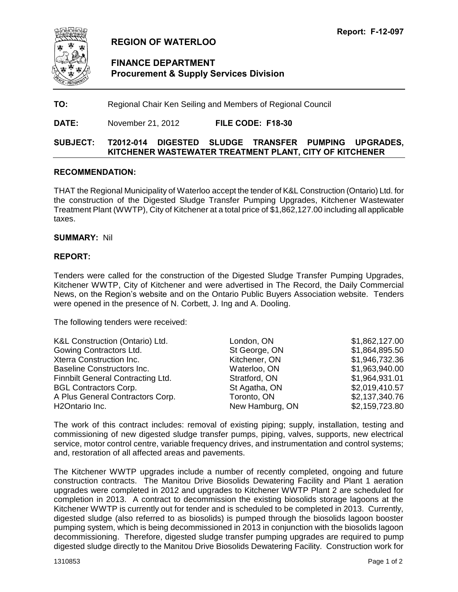<span id="page-3-0"></span>

## **REGION OF WATERLOO**

## **FINANCE DEPARTMENT Procurement & Supply Services Division**

**TO:** Regional Chair Ken Seiling and Members of Regional Council

**DATE:** November 21, 2012 **FILE CODE: F18-30**

## **SUBJECT: T2012-014 DIGESTED SLUDGE TRANSFER PUMPING UPGRADES, KITCHENER WASTEWATER TREATMENT PLANT, CITY OF KITCHENER**

#### **RECOMMENDATION:**

THAT the Regional Municipality of Waterloo accept the tender of K&L Construction (Ontario) Ltd. for the construction of the Digested Sludge Transfer Pumping Upgrades, Kitchener Wastewater Treatment Plant (WWTP), City of Kitchener at a total price of \$1,862,127.00 including all applicable taxes.

#### **SUMMARY:** Nil

## **REPORT:**

Tenders were called for the construction of the Digested Sludge Transfer Pumping Upgrades, Kitchener WWTP, City of Kitchener and were advertised in The Record, the Daily Commercial News, on the Region's website and on the Ontario Public Buyers Association website. Tenders were opened in the presence of N. Corbett, J. Ing and A. Dooling.

The following tenders were received:

| K&L Construction (Ontario) Ltd.          | London, ON      | \$1,862,127.00 |
|------------------------------------------|-----------------|----------------|
| Gowing Contractors Ltd.                  | St George, ON   | \$1,864,895.50 |
| Xterra Construction Inc.                 | Kitchener, ON   | \$1,946,732.36 |
| Baseline Constructors Inc.               | Waterloo, ON    | \$1,963,940.00 |
| <b>Finnbilt General Contracting Ltd.</b> | Stratford, ON   | \$1,964,931.01 |
| <b>BGL Contractors Corp.</b>             | St Agatha, ON   | \$2,019,410.57 |
| A Plus General Contractors Corp.         | Toronto, ON     | \$2,137,340.76 |
| H <sub>2</sub> Ontario Inc.              | New Hamburg, ON | \$2,159,723.80 |

The work of this contract includes: removal of existing piping; supply, installation, testing and commissioning of new digested sludge transfer pumps, piping, valves, supports, new electrical service, motor control centre, variable frequency drives, and instrumentation and control systems; and, restoration of all affected areas and pavements.

The Kitchener WWTP upgrades include a number of recently completed, ongoing and future construction contracts. The Manitou Drive Biosolids Dewatering Facility and Plant 1 aeration upgrades were completed in 2012 and upgrades to Kitchener WWTP Plant 2 are scheduled for completion in 2013. A contract to decommission the existing biosolids storage lagoons at the Kitchener WWTP is currently out for tender and is scheduled to be completed in 2013. Currently, digested sludge (also referred to as biosolids) is pumped through the biosolids lagoon booster pumping system, which is being decommissioned in 2013 in conjunction with the biosolids lagoon decommissioning. Therefore, digested sludge transfer pumping upgrades are required to pump digested sludge directly to the Manitou Drive Biosolids Dewatering Facility. Construction work for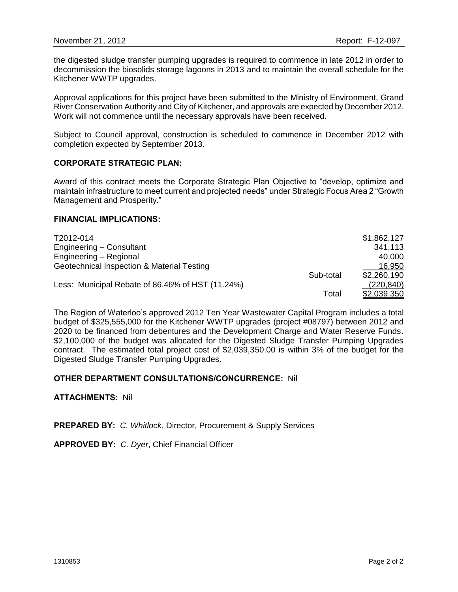the digested sludge transfer pumping upgrades is required to commence in late 2012 in order to decommission the biosolids storage lagoons in 2013 and to maintain the overall schedule for the Kitchener WWTP upgrades.

Approval applications for this project have been submitted to the Ministry of Environment, Grand River Conservation Authority and City of Kitchener, and approvals are expected by December 2012. Work will not commence until the necessary approvals have been received.

Subject to Council approval, construction is scheduled to commence in December 2012 with completion expected by September 2013.

#### **CORPORATE STRATEGIC PLAN:**

Award of this contract meets the Corporate Strategic Plan Objective to "develop, optimize and maintain infrastructure to meet current and projected needs" under Strategic Focus Area 2 "Growth Management and Prosperity."

## **FINANCIAL IMPLICATIONS:**

| T2012-014                                        |           | \$1,862,127 |
|--------------------------------------------------|-----------|-------------|
| Engineering - Consultant                         |           | 341,113     |
| Engineering - Regional                           |           | 40,000      |
| Geotechnical Inspection & Material Testing       |           | 16,950      |
|                                                  | Sub-total | \$2,260,190 |
| Less: Municipal Rebate of 86.46% of HST (11.24%) |           | (220, 840)  |
|                                                  | Total     | \$2,039,350 |

The Region of Waterloo's approved 2012 Ten Year Wastewater Capital Program includes a total budget of \$325,555,000 for the Kitchener WWTP upgrades (project #08797) between 2012 and 2020 to be financed from debentures and the Development Charge and Water Reserve Funds. \$2,100,000 of the budget was allocated for the Digested Sludge Transfer Pumping Upgrades contract. The estimated total project cost of \$2,039,350.00 is within 3% of the budget for the Digested Sludge Transfer Pumping Upgrades.

## **OTHER DEPARTMENT CONSULTATIONS/CONCURRENCE:** Nil

#### **ATTACHMENTS:** Nil

**PREPARED BY:** *C. Whitlock*, Director, Procurement & Supply Services

**APPROVED BY:** *C. Dyer*, Chief Financial Officer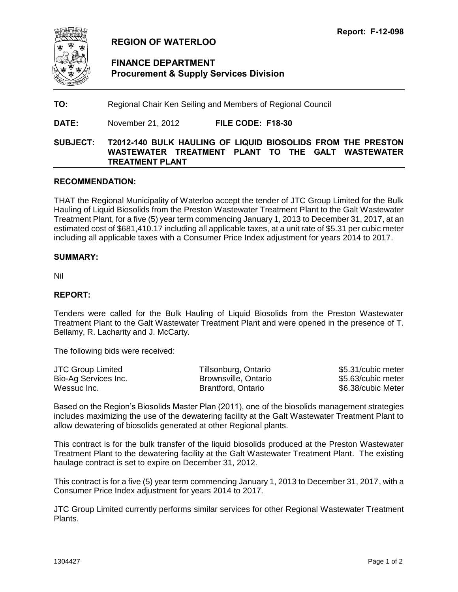<span id="page-5-0"></span>

## **REGION OF WATERLOO**

## **FINANCE DEPARTMENT Procurement & Supply Services Division**

**TO:** Regional Chair Ken Seiling and Members of Regional Council

**DATE:** November 21, 2012 **FILE CODE: F18-30**

## **SUBJECT: T2012-140 BULK HAULING OF LIQUID BIOSOLIDS FROM THE PRESTON WASTEWATER TREATMENT PLANT TO THE GALT WASTEWATER TREATMENT PLANT**

## **RECOMMENDATION:**

THAT the Regional Municipality of Waterloo accept the tender of JTC Group Limited for the Bulk Hauling of Liquid Biosolids from the Preston Wastewater Treatment Plant to the Galt Wastewater Treatment Plant, for a five (5) year term commencing January 1, 2013 to December 31, 2017, at an estimated cost of \$681,410.17 including all applicable taxes, at a unit rate of \$5.31 per cubic meter including all applicable taxes with a Consumer Price Index adjustment for years 2014 to 2017.

## **SUMMARY:**

Nil

## **REPORT:**

Tenders were called for the Bulk Hauling of Liquid Biosolids from the Preston Wastewater Treatment Plant to the Galt Wastewater Treatment Plant and were opened in the presence of T. Bellamy, R. Lacharity and J. McCarty.

The following bids were received:

| <b>JTC Group Limited</b> | Tillsonburg, Ontario | \$5.31/cubic meter |
|--------------------------|----------------------|--------------------|
| Bio-Ag Services Inc.     | Brownsville, Ontario | \$5.63/cubic meter |
| Wessuc Inc.              | Brantford, Ontario   | \$6.38/cubic Meter |

Based on the Region's Biosolids Master Plan (2011), one of the biosolids management strategies includes maximizing the use of the dewatering facility at the Galt Wastewater Treatment Plant to allow dewatering of biosolids generated at other Regional plants.

This contract is for the bulk transfer of the liquid biosolids produced at the Preston Wastewater Treatment Plant to the dewatering facility at the Galt Wastewater Treatment Plant. The existing haulage contract is set to expire on December 31, 2012.

This contract is for a five (5) year term commencing January 1, 2013 to December 31, 2017, with a Consumer Price Index adjustment for years 2014 to 2017.

JTC Group Limited currently performs similar services for other Regional Wastewater Treatment Plants.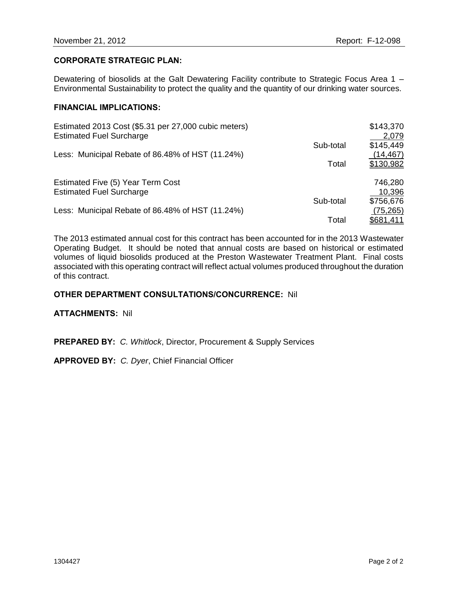## **CORPORATE STRATEGIC PLAN:**

Dewatering of biosolids at the Galt Dewatering Facility contribute to Strategic Focus Area 1 – Environmental Sustainability to protect the quality and the quantity of our drinking water sources.

## **FINANCIAL IMPLICATIONS:**

| Estimated 2013 Cost (\$5.31 per 27,000 cubic meters)<br><b>Estimated Fuel Surcharge</b> |           | \$143,370<br>2,079 |
|-----------------------------------------------------------------------------------------|-----------|--------------------|
|                                                                                         | Sub-total | \$145,449          |
| Less: Municipal Rebate of 86.48% of HST (11.24%)                                        |           | (14, 467)          |
|                                                                                         | Total     | \$130,982          |
| Estimated Five (5) Year Term Cost                                                       |           | 746,280            |
| <b>Estimated Fuel Surcharge</b>                                                         |           | 10,396             |
|                                                                                         | Sub-total | \$756,676          |
| Less: Municipal Rebate of 86.48% of HST (11.24%)                                        |           | (75, 265)          |
|                                                                                         | Total     | <u>\$681,411</u>   |

The 2013 estimated annual cost for this contract has been accounted for in the 2013 Wastewater Operating Budget. It should be noted that annual costs are based on historical or estimated volumes of liquid biosolids produced at the Preston Wastewater Treatment Plant. Final costs associated with this operating contract will reflect actual volumes produced throughout the duration of this contract.

#### **OTHER DEPARTMENT CONSULTATIONS/CONCURRENCE:** Nil

#### **ATTACHMENTS:** Nil

**PREPARED BY:** *C. Whitlock*, Director, Procurement & Supply Services

**APPROVED BY:** *C. Dyer*, Chief Financial Officer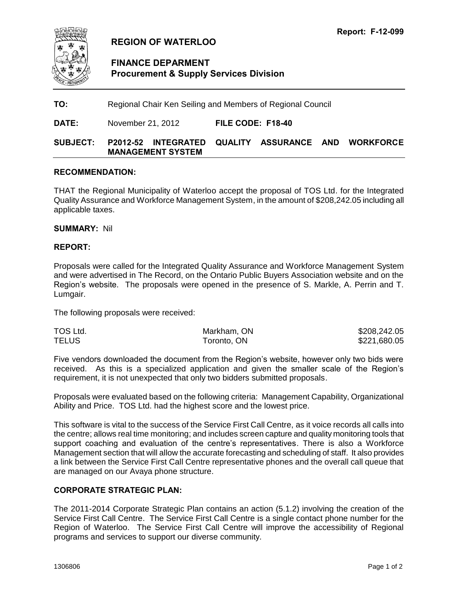<span id="page-7-0"></span>

## **REGION OF WATERLOO**

## **FINANCE DEPARMENT Procurement & Supply Services Division**

**TO:** Regional Chair Ken Seiling and Members of Regional Council

**DATE:** November 21, 2012 **FILE CODE: F18-40**

## **SUBJECT: P2012-52 INTEGRATED QUALITY ASSURANCE AND WORKFORCE MANAGEMENT SYSTEM**

#### **RECOMMENDATION:**

THAT the Regional Municipality of Waterloo accept the proposal of TOS Ltd. for the Integrated Quality Assurance and Workforce Management System, in the amount of \$208,242.05 including all applicable taxes.

**SUMMARY:** Nil

#### **REPORT:**

Proposals were called for the Integrated Quality Assurance and Workforce Management System and were advertised in The Record, on the Ontario Public Buyers Association website and on the Region's website. The proposals were opened in the presence of S. Markle, A. Perrin and T. Lumgair.

The following proposals were received:

| TOS Ltd.     | Markham, ON | \$208,242.05 |
|--------------|-------------|--------------|
| <b>TELUS</b> | Toronto, ON | \$221,680.05 |

Five vendors downloaded the document from the Region's website, however only two bids were received. As this is a specialized application and given the smaller scale of the Region's requirement, it is not unexpected that only two bidders submitted proposals.

Proposals were evaluated based on the following criteria: Management Capability, Organizational Ability and Price. TOS Ltd. had the highest score and the lowest price.

This software is vital to the success of the Service First Call Centre, as it voice records all calls into the centre; allows real time monitoring; and includes screen capture and quality monitoring tools that support coaching and evaluation of the centre's representatives. There is also a Workforce Management section that will allow the accurate forecasting and scheduling of staff. It also provides a link between the Service First Call Centre representative phones and the overall call queue that are managed on our Avaya phone structure.

## **CORPORATE STRATEGIC PLAN:**

The 2011-2014 Corporate Strategic Plan contains an action (5.1.2) involving the creation of the Service First Call Centre. The Service First Call Centre is a single contact phone number for the Region of Waterloo. The Service First Call Centre will improve the accessibility of Regional programs and services to support our diverse community.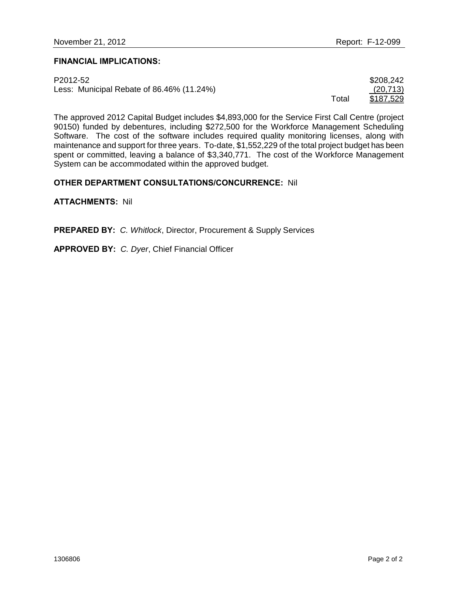## **FINANCIAL IMPLICATIONS:**

| P2012-52                                  |       | \$208,242 |
|-------------------------------------------|-------|-----------|
| Less: Municipal Rebate of 86.46% (11.24%) |       | (20, 713) |
|                                           | Total | \$187,529 |

The approved 2012 Capital Budget includes \$4,893,000 for the Service First Call Centre (project 90150) funded by debentures, including \$272,500 for the Workforce Management Scheduling Software. The cost of the software includes required quality monitoring licenses, along with maintenance and support for three years. To-date, \$1,552,229 of the total project budget has been spent or committed, leaving a balance of \$3,340,771. The cost of the Workforce Management System can be accommodated within the approved budget.

## **OTHER DEPARTMENT CONSULTATIONS/CONCURRENCE:** Nil

**ATTACHMENTS:** Nil

**PREPARED BY:** *C. Whitlock*, Director, Procurement & Supply Services

**APPROVED BY:** *C. Dyer*, Chief Financial Officer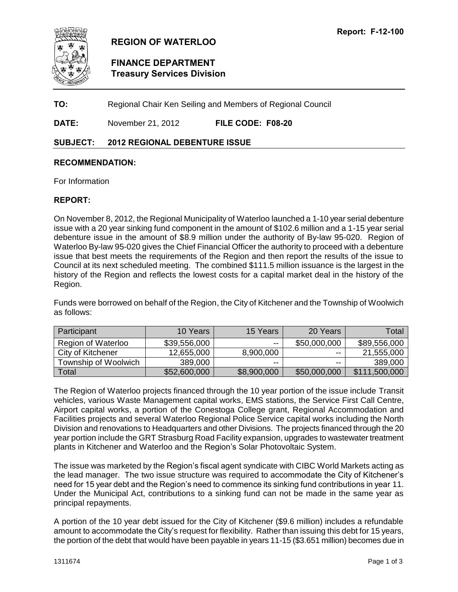<span id="page-9-0"></span>

## **REGION OF WATERLOO**

## **FINANCE DEPARTMENT Treasury Services Division**

**TO:** Regional Chair Ken Seiling and Members of Regional Council

**DATE:** November 21, 2012 **FILE CODE: F08-20**

## **SUBJECT: 2012 REGIONAL DEBENTURE ISSUE**

#### **RECOMMENDATION:**

For Information

#### **REPORT:**

On November 8, 2012, the Regional Municipality of Waterloo launched a 1-10 year serial debenture issue with a 20 year sinking fund component in the amount of \$102.6 million and a 1-15 year serial debenture issue in the amount of \$8.9 million under the authority of By-law 95-020. Region of Waterloo By-law 95-020 gives the Chief Financial Officer the authority to proceed with a debenture issue that best meets the requirements of the Region and then report the results of the issue to Council at its next scheduled meeting. The combined \$111.5 million issuance is the largest in the history of the Region and reflects the lowest costs for a capital market deal in the history of the Region.

Funds were borrowed on behalf of the Region, the City of Kitchener and the Township of Woolwich as follows:

| Participant               | 10 Years     | 15 Years    | 20 Years                 | Total         |
|---------------------------|--------------|-------------|--------------------------|---------------|
| <b>Region of Waterloo</b> | \$39,556,000 | $- -$       | \$50,000,000             | \$89,556,000  |
| City of Kitchener         | 12,655,000   | 8,900,000   | $- -$                    | 21,555,000    |
| Township of Woolwich      | 389,000      | $- -$       | $\overline{\phantom{a}}$ | 389,000       |
| Total                     | \$52,600,000 | \$8,900,000 | \$50,000,000             | \$111,500,000 |

The Region of Waterloo projects financed through the 10 year portion of the issue include Transit vehicles, various Waste Management capital works, EMS stations, the Service First Call Centre, Airport capital works, a portion of the Conestoga College grant, Regional Accommodation and Facilities projects and several Waterloo Regional Police Service capital works including the North Division and renovations to Headquarters and other Divisions. The projects financed through the 20 year portion include the GRT Strasburg Road Facility expansion, upgrades to wastewater treatment plants in Kitchener and Waterloo and the Region's Solar Photovoltaic System.

The issue was marketed by the Region's fiscal agent syndicate with CIBC World Markets acting as the lead manager. The two issue structure was required to accommodate the City of Kitchener's need for 15 year debt and the Region's need to commence its sinking fund contributions in year 11. Under the Municipal Act, contributions to a sinking fund can not be made in the same year as principal repayments.

A portion of the 10 year debt issued for the City of Kitchener (\$9.6 million) includes a refundable amount to accommodate the City's request for flexibility. Rather than issuing this debt for 15 years, the portion of the debt that would have been payable in years 11-15 (\$3.651 million) becomes due in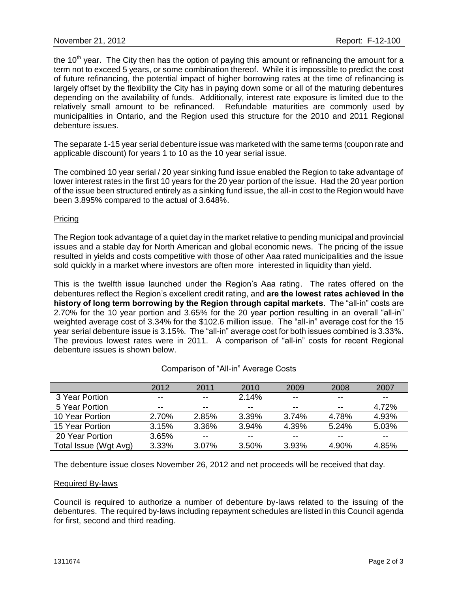the 10<sup>th</sup> year. The City then has the option of paying this amount or refinancing the amount for a term not to exceed 5 years, or some combination thereof. While it is impossible to predict the cost of future refinancing, the potential impact of higher borrowing rates at the time of refinancing is largely offset by the flexibility the City has in paying down some or all of the maturing debentures depending on the availability of funds. Additionally, interest rate exposure is limited due to the relatively small amount to be refinanced. Refundable maturities are commonly used by municipalities in Ontario, and the Region used this structure for the 2010 and 2011 Regional debenture issues.

The separate 1-15 year serial debenture issue was marketed with the same terms (coupon rate and applicable discount) for years 1 to 10 as the 10 year serial issue.

The combined 10 year serial / 20 year sinking fund issue enabled the Region to take advantage of lower interest rates in the first 10 years for the 20 year portion of the issue. Had the 20 year portion of the issue been structured entirely as a sinking fund issue, the all-in cost to the Region would have been 3.895% compared to the actual of 3.648%.

#### **Pricing**

The Region took advantage of a quiet day in the market relative to pending municipal and provincial issues and a stable day for North American and global economic news. The pricing of the issue resulted in yields and costs competitive with those of other Aaa rated municipalities and the issue sold quickly in a market where investors are often more interested in liquidity than yield.

This is the twelfth issue launched under the Region's Aaa rating. The rates offered on the debentures reflect the Region's excellent credit rating, and **are the lowest rates achieved in the history of long term borrowing by the Region through capital markets**. The "all-in" costs are 2.70% for the 10 year portion and 3.65% for the 20 year portion resulting in an overall "all-in" weighted average cost of 3.34% for the \$102.6 million issue. The "all-in" average cost for the 15 year serial debenture issue is 3.15%. The "all-in" average cost for both issues combined is 3.33%. The previous lowest rates were in 2011. A comparison of "all-in" costs for recent Regional debenture issues is shown below.

|                       | 2012  | 2011  | 2010  | 2009  | 2008  | 2007  |
|-----------------------|-------|-------|-------|-------|-------|-------|
| 3 Year Portion        | $- -$ | $- -$ | 2.14% | $-$   | $- -$ | $- -$ |
| 5 Year Portion        | $- -$ | $- -$ | $- -$ | --    | $- -$ | 4.72% |
| 10 Year Portion       | 2.70% | 2.85% | 3.39% | 3.74% | 4.78% | 4.93% |
| 15 Year Portion       | 3.15% | 3.36% | 3.94% | 4.39% | 5.24% | 5.03% |
| 20 Year Portion       | 3.65% | $- -$ | $- -$ |       | $- -$ | $- -$ |
| Total Issue (Wgt Avg) | 3.33% | 3.07% | 3.50% | 3.93% | 4.90% | 4.85% |

#### Comparison of "All-in" Average Costs

The debenture issue closes November 26, 2012 and net proceeds will be received that day.

#### Required By-laws

Council is required to authorize a number of debenture by-laws related to the issuing of the debentures. The required by-laws including repayment schedules are listed in this Council agenda for first, second and third reading.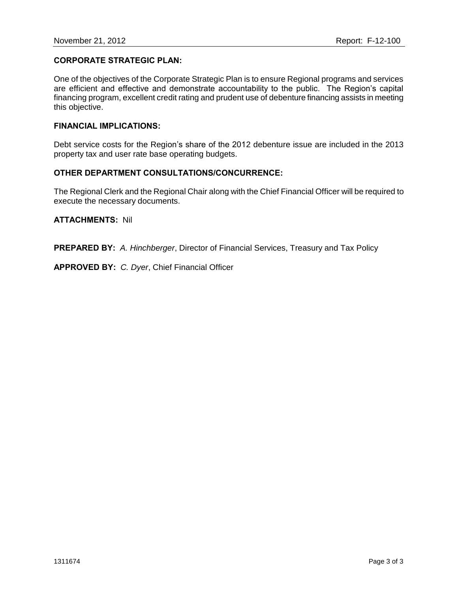## **CORPORATE STRATEGIC PLAN:**

One of the objectives of the Corporate Strategic Plan is to ensure Regional programs and services are efficient and effective and demonstrate accountability to the public. The Region's capital financing program, excellent credit rating and prudent use of debenture financing assists in meeting this objective.

#### **FINANCIAL IMPLICATIONS:**

Debt service costs for the Region's share of the 2012 debenture issue are included in the 2013 property tax and user rate base operating budgets.

## **OTHER DEPARTMENT CONSULTATIONS/CONCURRENCE:**

The Regional Clerk and the Regional Chair along with the Chief Financial Officer will be required to execute the necessary documents.

#### **ATTACHMENTS:** Nil

**PREPARED BY:** *A. Hinchberger*, Director of Financial Services, Treasury and Tax Policy

**APPROVED BY:** *C. Dyer*, Chief Financial Officer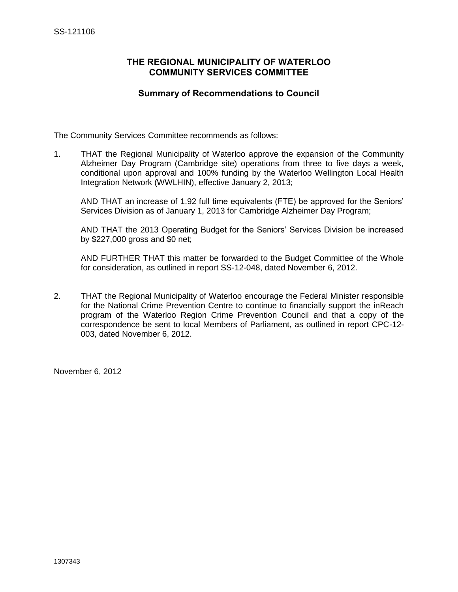## <span id="page-12-0"></span>**THE REGIONAL MUNICIPALITY OF WATERLOO COMMUNITY SERVICES COMMITTEE**

## **Summary of Recommendations to Council**

The Community Services Committee recommends as follows:

1. THAT the Regional Municipality of Waterloo approve the expansion of the Community Alzheimer Day Program (Cambridge site) operations from three to five days a week, conditional upon approval and 100% funding by the Waterloo Wellington Local Health Integration Network (WWLHIN), effective January 2, 2013;

AND THAT an increase of 1.92 full time equivalents (FTE) be approved for the Seniors' Services Division as of January 1, 2013 for Cambridge Alzheimer Day Program;

AND THAT the 2013 Operating Budget for the Seniors' Services Division be increased by \$227,000 gross and \$0 net;

AND FURTHER THAT this matter be forwarded to the Budget Committee of the Whole for consideration, as outlined in report SS-12-048, dated November 6, 2012.

2. THAT the Regional Municipality of Waterloo encourage the Federal Minister responsible for the National Crime Prevention Centre to continue to financially support the inReach program of the Waterloo Region Crime Prevention Council and that a copy of the correspondence be sent to local Members of Parliament, as outlined in report CPC-12- 003, dated November 6, 2012.

November 6, 2012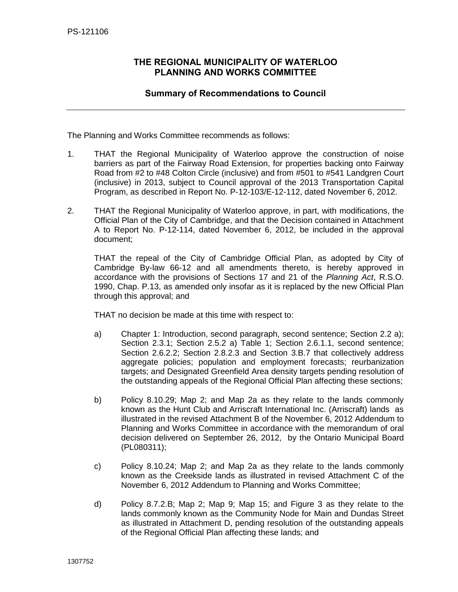## <span id="page-13-0"></span>**THE REGIONAL MUNICIPALITY OF WATERLOO PLANNING AND WORKS COMMITTEE**

## **Summary of Recommendations to Council**

The Planning and Works Committee recommends as follows:

- 1. THAT the Regional Municipality of Waterloo approve the construction of noise barriers as part of the Fairway Road Extension, for properties backing onto Fairway Road from #2 to #48 Colton Circle (inclusive) and from #501 to #541 Landgren Court (inclusive) in 2013, subject to Council approval of the 2013 Transportation Capital Program, as described in Report No. P-12-103/E-12-112, dated November 6, 2012.
- 2. THAT the Regional Municipality of Waterloo approve, in part, with modifications, the Official Plan of the City of Cambridge, and that the Decision contained in Attachment A to Report No. P-12-114, dated November 6, 2012, be included in the approval document;

THAT the repeal of the City of Cambridge Official Plan, as adopted by City of Cambridge By-law 66-12 and all amendments thereto, is hereby approved in accordance with the provisions of Sections 17 and 21 of the *Planning Act*, R.S.O. 1990, Chap. P.13, as amended only insofar as it is replaced by the new Official Plan through this approval; and

THAT no decision be made at this time with respect to:

- a) Chapter 1: Introduction, second paragraph, second sentence; Section 2.2 a); Section 2.3.1; Section 2.5.2 a) Table 1; Section 2.6.1.1, second sentence: Section 2.6.2.2; Section 2.8.2.3 and Section 3.B.7 that collectively address aggregate policies; population and employment forecasts; reurbanization targets; and Designated Greenfield Area density targets pending resolution of the outstanding appeals of the Regional Official Plan affecting these sections;
- b) Policy 8.10.29; Map 2; and Map 2a as they relate to the lands commonly known as the Hunt Club and Arriscraft International Inc. (Arriscraft) lands as illustrated in the revised Attachment B of the November 6, 2012 Addendum to Planning and Works Committee in accordance with the memorandum of oral decision delivered on September 26, 2012, by the Ontario Municipal Board (PL080311);
- c) Policy 8.10.24; Map 2; and Map 2a as they relate to the lands commonly known as the Creekside lands as illustrated in revised Attachment C of the November 6, 2012 Addendum to Planning and Works Committee;
- d) Policy 8.7.2.B; Map 2; Map 9; Map 15; and Figure 3 as they relate to the lands commonly known as the Community Node for Main and Dundas Street as illustrated in Attachment D, pending resolution of the outstanding appeals of the Regional Official Plan affecting these lands; and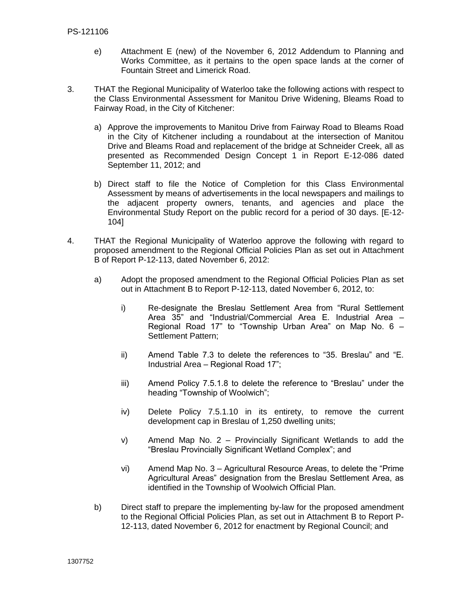- e) Attachment E (new) of the November 6, 2012 Addendum to Planning and Works Committee, as it pertains to the open space lands at the corner of Fountain Street and Limerick Road.
- 3. THAT the Regional Municipality of Waterloo take the following actions with respect to the Class Environmental Assessment for Manitou Drive Widening, Bleams Road to Fairway Road, in the City of Kitchener:
	- a) Approve the improvements to Manitou Drive from Fairway Road to Bleams Road in the City of Kitchener including a roundabout at the intersection of Manitou Drive and Bleams Road and replacement of the bridge at Schneider Creek, all as presented as Recommended Design Concept 1 in Report E-12-086 dated September 11, 2012; and
	- b) Direct staff to file the Notice of Completion for this Class Environmental Assessment by means of advertisements in the local newspapers and mailings to the adjacent property owners, tenants, and agencies and place the Environmental Study Report on the public record for a period of 30 days. [E-12- 104]
- 4. THAT the Regional Municipality of Waterloo approve the following with regard to proposed amendment to the Regional Official Policies Plan as set out in Attachment B of Report P-12-113, dated November 6, 2012:
	- a) Adopt the proposed amendment to the Regional Official Policies Plan as set out in Attachment B to Report P-12-113, dated November 6, 2012, to:
		- i) Re-designate the Breslau Settlement Area from "Rural Settlement Area 35" and "Industrial/Commercial Area E. Industrial Area – Regional Road 17" to "Township Urban Area" on Map No. 6 – Settlement Pattern;
		- ii) Amend Table 7.3 to delete the references to "35. Breslau" and "E. Industrial Area – Regional Road 17";
		- iii) Amend Policy 7.5.1.8 to delete the reference to "Breslau" under the heading "Township of Woolwich";
		- iv) Delete Policy 7.5.1.10 in its entirety, to remove the current development cap in Breslau of 1,250 dwelling units;
		- v) Amend Map No. 2 Provincially Significant Wetlands to add the "Breslau Provincially Significant Wetland Complex"; and
		- vi) Amend Map No. 3 Agricultural Resource Areas, to delete the "Prime Agricultural Areas" designation from the Breslau Settlement Area, as identified in the Township of Woolwich Official Plan.
	- b) Direct staff to prepare the implementing by-law for the proposed amendment to the Regional Official Policies Plan, as set out in Attachment B to Report P-12-113, dated November 6, 2012 for enactment by Regional Council; and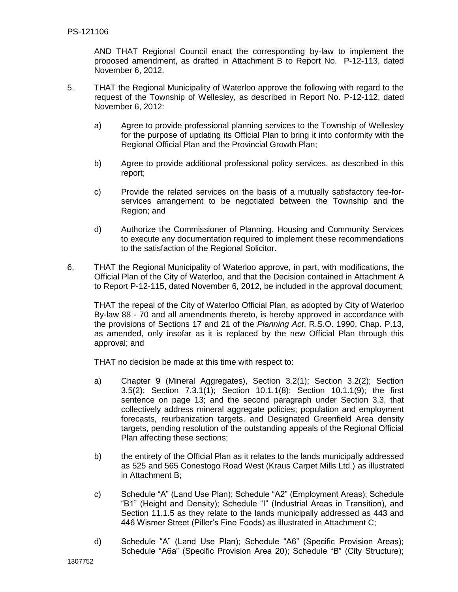AND THAT Regional Council enact the corresponding by-law to implement the proposed amendment, as drafted in Attachment B to Report No. P-12-113, dated November 6, 2012.

- 5. THAT the Regional Municipality of Waterloo approve the following with regard to the request of the Township of Wellesley, as described in Report No. P-12-112, dated November 6, 2012:
	- a) Agree to provide professional planning services to the Township of Wellesley for the purpose of updating its Official Plan to bring it into conformity with the Regional Official Plan and the Provincial Growth Plan;
	- b) Agree to provide additional professional policy services, as described in this report;
	- c) Provide the related services on the basis of a mutually satisfactory fee-forservices arrangement to be negotiated between the Township and the Region; and
	- d) Authorize the Commissioner of Planning, Housing and Community Services to execute any documentation required to implement these recommendations to the satisfaction of the Regional Solicitor.
- 6. THAT the Regional Municipality of Waterloo approve, in part, with modifications, the Official Plan of the City of Waterloo, and that the Decision contained in Attachment A to Report P-12-115, dated November 6, 2012, be included in the approval document;

THAT the repeal of the City of Waterloo Official Plan, as adopted by City of Waterloo By-law 88 - 70 and all amendments thereto, is hereby approved in accordance with the provisions of Sections 17 and 21 of the *Planning Act*, R.S.O. 1990, Chap. P.13, as amended, only insofar as it is replaced by the new Official Plan through this approval; and

THAT no decision be made at this time with respect to:

- a) Chapter 9 (Mineral Aggregates), Section 3.2(1); Section 3.2(2); Section 3.5(2); Section 7.3.1(1); Section 10.1.1(8); Section 10.1.1(9); the first sentence on page 13; and the second paragraph under Section 3.3, that collectively address mineral aggregate policies; population and employment forecasts, reurbanization targets, and Designated Greenfield Area density targets, pending resolution of the outstanding appeals of the Regional Official Plan affecting these sections;
- b) the entirety of the Official Plan as it relates to the lands municipally addressed as 525 and 565 Conestogo Road West (Kraus Carpet Mills Ltd.) as illustrated in Attachment B;
- c) Schedule "A" (Land Use Plan); Schedule "A2" (Employment Areas); Schedule "B1" (Height and Density); Schedule "I" (Industrial Areas in Transition), and Section 11.1.5 as they relate to the lands municipally addressed as 443 and 446 Wismer Street (Piller's Fine Foods) as illustrated in Attachment C;
- d) Schedule "A" (Land Use Plan); Schedule "A6" (Specific Provision Areas); Schedule "A6a" (Specific Provision Area 20); Schedule "B" (City Structure);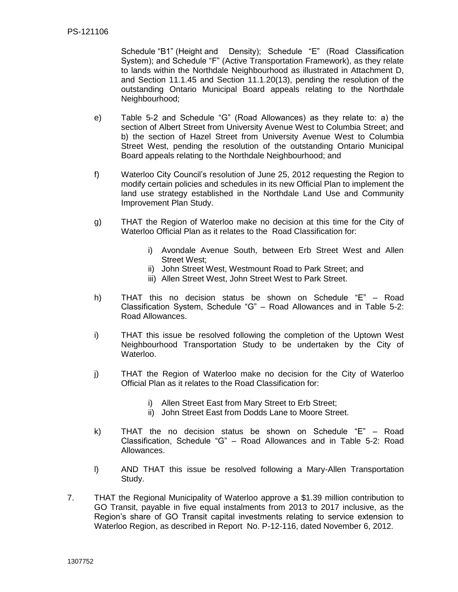Schedule "B1" (Height and Density); Schedule "E" (Road Classification System); and Schedule "F" (Active Transportation Framework), as they relate to lands within the Northdale Neighbourhood as illustrated in Attachment D, and Section 11.1.45 and Section 11.1.20(13), pending the resolution of the outstanding Ontario Municipal Board appeals relating to the Northdale Neighbourhood;

- e) Table 5-2 and Schedule "G" (Road Allowances) as they relate to: a) the section of Albert Street from University Avenue West to Columbia Street; and b) the section of Hazel Street from University Avenue West to Columbia Street West, pending the resolution of the outstanding Ontario Municipal Board appeals relating to the Northdale Neighbourhood; and
- f) Waterloo City Council's resolution of June 25, 2012 requesting the Region to modify certain policies and schedules in its new Official Plan to implement the land use strategy established in the Northdale Land Use and Community Improvement Plan Study.
- g) THAT the Region of Waterloo make no decision at this time for the City of Waterloo Official Plan as it relates to the Road Classification for:
	- i) Avondale Avenue South, between Erb Street West and Allen Street West;
	- ii) John Street West, Westmount Road to Park Street; and
	- iii) Allen Street West, John Street West to Park Street.
- h) THAT this no decision status be shown on Schedule "E" Road Classification System, Schedule "G" – Road Allowances and in Table 5-2: Road Allowances.
- i) THAT this issue be resolved following the completion of the Uptown West Neighbourhood Transportation Study to be undertaken by the City of Waterloo.
- j) THAT the Region of Waterloo make no decision for the City of Waterloo Official Plan as it relates to the Road Classification for:
	- i) Allen Street East from Mary Street to Erb Street;
	- ii) John Street East from Dodds Lane to Moore Street.
- k) THAT the no decision status be shown on Schedule "E" Road Classification, Schedule "G" – Road Allowances and in Table 5-2: Road Allowances.
- l) AND THAT this issue be resolved following a Mary-Allen Transportation Study.
- 7. THAT the Regional Municipality of Waterloo approve a \$1.39 million contribution to GO Transit, payable in five equal instalments from 2013 to 2017 inclusive, as the Region's share of GO Transit capital investments relating to service extension to Waterloo Region, as described in Report No. P-12-116, dated November 6, 2012.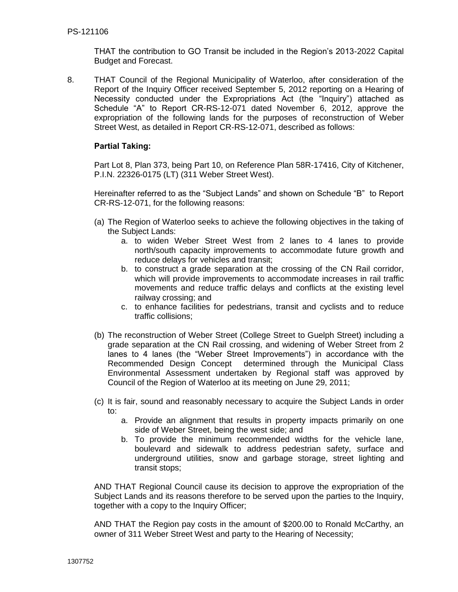THAT the contribution to GO Transit be included in the Region's 2013-2022 Capital Budget and Forecast.

8. THAT Council of the Regional Municipality of Waterloo, after consideration of the Report of the Inquiry Officer received September 5, 2012 reporting on a Hearing of Necessity conducted under the Expropriations Act (the "Inquiry") attached as Schedule "A" to Report CR-RS-12-071 dated November 6, 2012, approve the expropriation of the following lands for the purposes of reconstruction of Weber Street West, as detailed in Report CR-RS-12-071, described as follows:

## **Partial Taking:**

Part Lot 8, Plan 373, being Part 10, on Reference Plan 58R-17416, City of Kitchener, P.I.N. 22326-0175 (LT) (311 Weber Street West).

Hereinafter referred to as the "Subject Lands" and shown on Schedule "B" to Report CR-RS-12-071, for the following reasons:

- (a) The Region of Waterloo seeks to achieve the following objectives in the taking of the Subject Lands:
	- a. to widen Weber Street West from 2 lanes to 4 lanes to provide north/south capacity improvements to accommodate future growth and reduce delays for vehicles and transit;
	- b. to construct a grade separation at the crossing of the CN Rail corridor, which will provide improvements to accommodate increases in rail traffic movements and reduce traffic delays and conflicts at the existing level railway crossing; and
	- c. to enhance facilities for pedestrians, transit and cyclists and to reduce traffic collisions;
- (b) The reconstruction of Weber Street (College Street to Guelph Street) including a grade separation at the CN Rail crossing, and widening of Weber Street from 2 lanes to 4 lanes (the "Weber Street Improvements") in accordance with the Recommended Design Concept determined through the Municipal Class Environmental Assessment undertaken by Regional staff was approved by Council of the Region of Waterloo at its meeting on June 29, 2011;
- (c) It is fair, sound and reasonably necessary to acquire the Subject Lands in order to:
	- a. Provide an alignment that results in property impacts primarily on one side of Weber Street, being the west side; and
	- b. To provide the minimum recommended widths for the vehicle lane, boulevard and sidewalk to address pedestrian safety, surface and underground utilities, snow and garbage storage, street lighting and transit stops;

AND THAT Regional Council cause its decision to approve the expropriation of the Subject Lands and its reasons therefore to be served upon the parties to the Inquiry, together with a copy to the Inquiry Officer;

AND THAT the Region pay costs in the amount of \$200.00 to Ronald McCarthy, an owner of 311 Weber Street West and party to the Hearing of Necessity;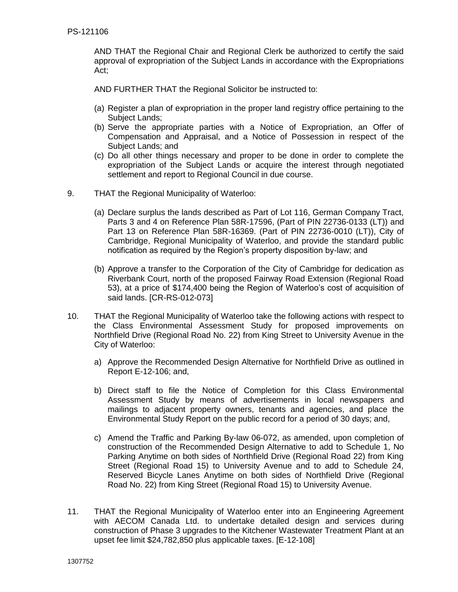AND THAT the Regional Chair and Regional Clerk be authorized to certify the said approval of expropriation of the Subject Lands in accordance with the Expropriations Act;

AND FURTHER THAT the Regional Solicitor be instructed to:

- (a) Register a plan of expropriation in the proper land registry office pertaining to the Subject Lands;
- (b) Serve the appropriate parties with a Notice of Expropriation, an Offer of Compensation and Appraisal, and a Notice of Possession in respect of the Subject Lands; and
- (c) Do all other things necessary and proper to be done in order to complete the expropriation of the Subject Lands or acquire the interest through negotiated settlement and report to Regional Council in due course.
- 9. THAT the Regional Municipality of Waterloo:
	- (a) Declare surplus the lands described as Part of Lot 116, German Company Tract, Parts 3 and 4 on Reference Plan 58R-17596, (Part of PIN 22736-0133 (LT)) and Part 13 on Reference Plan 58R-16369. (Part of PIN 22736-0010 (LT)), City of Cambridge, Regional Municipality of Waterloo, and provide the standard public notification as required by the Region's property disposition by-law; and
	- (b) Approve a transfer to the Corporation of the City of Cambridge for dedication as Riverbank Court, north of the proposed Fairway Road Extension (Regional Road 53), at a price of \$174,400 being the Region of Waterloo's cost of acquisition of said lands. [CR-RS-012-073]
- 10. THAT the Regional Municipality of Waterloo take the following actions with respect to the Class Environmental Assessment Study for proposed improvements on Northfield Drive (Regional Road No. 22) from King Street to University Avenue in the City of Waterloo:
	- a) Approve the Recommended Design Alternative for Northfield Drive as outlined in Report E-12-106; and,
	- b) Direct staff to file the Notice of Completion for this Class Environmental Assessment Study by means of advertisements in local newspapers and mailings to adjacent property owners, tenants and agencies, and place the Environmental Study Report on the public record for a period of 30 days; and,
	- c) Amend the Traffic and Parking By-law 06-072, as amended, upon completion of construction of the Recommended Design Alternative to add to Schedule 1, No Parking Anytime on both sides of Northfield Drive (Regional Road 22) from King Street (Regional Road 15) to University Avenue and to add to Schedule 24, Reserved Bicycle Lanes Anytime on both sides of Northfield Drive (Regional Road No. 22) from King Street (Regional Road 15) to University Avenue.
- 11. THAT the Regional Municipality of Waterloo enter into an Engineering Agreement with AECOM Canada Ltd. to undertake detailed design and services during construction of Phase 3 upgrades to the Kitchener Wastewater Treatment Plant at an upset fee limit \$24,782,850 plus applicable taxes. [E-12-108]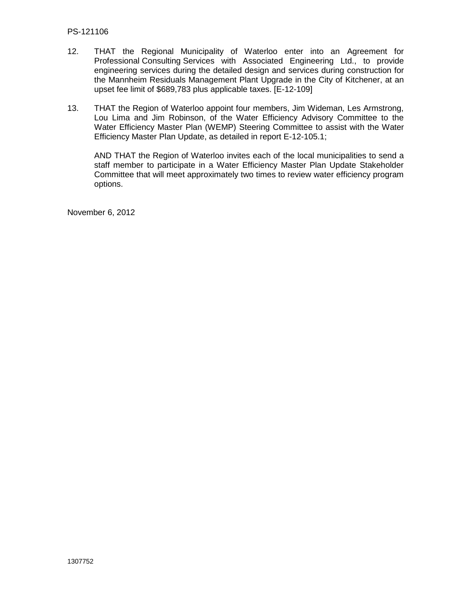- 12. THAT the Regional Municipality of Waterloo enter into an Agreement for Professional Consulting Services with Associated Engineering Ltd., to provide engineering services during the detailed design and services during construction for the Mannheim Residuals Management Plant Upgrade in the City of Kitchener, at an upset fee limit of \$689,783 plus applicable taxes. [E-12-109]
- 13. THAT the Region of Waterloo appoint four members, Jim Wideman, Les Armstrong, Lou Lima and Jim Robinson, of the Water Efficiency Advisory Committee to the Water Efficiency Master Plan (WEMP) Steering Committee to assist with the Water Efficiency Master Plan Update, as detailed in report E-12-105.1;

AND THAT the Region of Waterloo invites each of the local municipalities to send a staff member to participate in a Water Efficiency Master Plan Update Stakeholder Committee that will meet approximately two times to review water efficiency program options.

November 6, 2012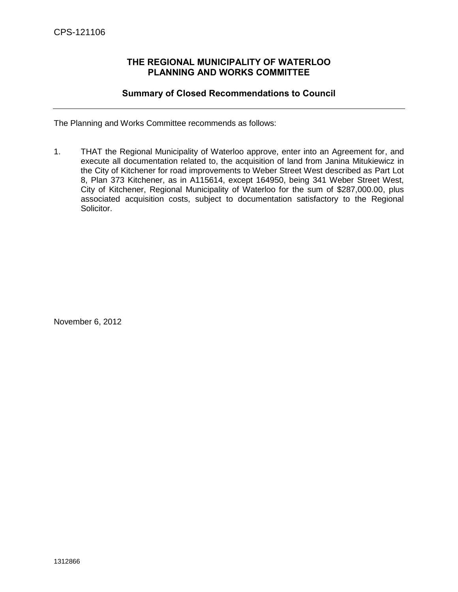## **THE REGIONAL MUNICIPALITY OF WATERLOO PLANNING AND WORKS COMMITTEE**

## **Summary of Closed Recommendations to Council**

<span id="page-20-0"></span>The Planning and Works Committee recommends as follows:

1. THAT the Regional Municipality of Waterloo approve, enter into an Agreement for, and execute all documentation related to, the acquisition of land from Janina Mitukiewicz in the City of Kitchener for road improvements to Weber Street West described as Part Lot 8, Plan 373 Kitchener, as in A115614, except 164950, being 341 Weber Street West, City of Kitchener, Regional Municipality of Waterloo for the sum of \$287,000.00, plus associated acquisition costs, subject to documentation satisfactory to the Regional Solicitor.

November 6, 2012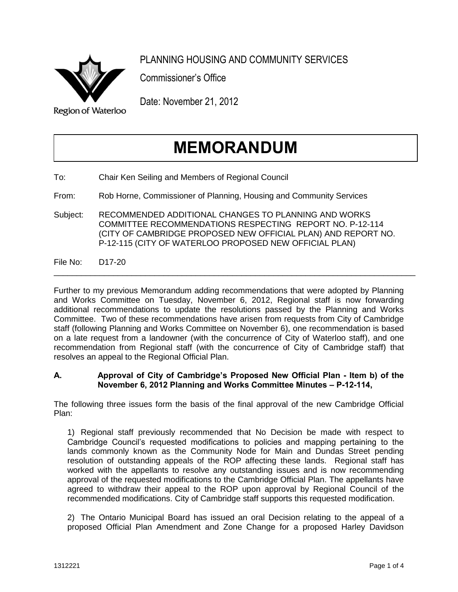

PLANNING HOUSING AND COMMUNITY SERVICES

Commissioner's Office

Date: November 21, 2012

## **MEMORANDUM**

To: Chair Ken Seiling and Members of Regional Council

From: Rob Horne, Commissioner of Planning, Housing and Community Services

Subject: RECOMMENDED ADDITIONAL CHANGES TO PLANNING AND WORKS COMMITTEE RECOMMENDATIONS RESPECTING REPORT NO. P-12-114 (CITY OF CAMBRIDGE PROPOSED NEW OFFICIAL PLAN) AND REPORT NO. P-12-115 (CITY OF WATERLOO PROPOSED NEW OFFICIAL PLAN)

File No: D17-20

Further to my previous Memorandum adding recommendations that were adopted by Planning and Works Committee on Tuesday, November 6, 2012, Regional staff is now forwarding additional recommendations to update the resolutions passed by the Planning and Works Committee. Two of these recommendations have arisen from requests from City of Cambridge staff (following Planning and Works Committee on November 6), one recommendation is based on a late request from a landowner (with the concurrence of City of Waterloo staff), and one recommendation from Regional staff (with the concurrence of City of Cambridge staff) that resolves an appeal to the Regional Official Plan.

\_\_\_\_\_\_\_\_\_\_\_\_\_\_\_\_\_\_\_\_\_\_\_\_\_\_\_\_\_\_\_\_\_\_\_\_\_\_\_\_\_\_\_\_\_\_\_\_\_\_\_\_\_\_\_\_\_\_\_\_\_\_\_\_\_\_\_\_\_\_\_\_\_\_\_\_\_\_\_

## **A. Approval of City of Cambridge's Proposed New Official Plan - Item b) of the November 6, 2012 Planning and Works Committee Minutes – P-12-114,**

The following three issues form the basis of the final approval of the new Cambridge Official Plan:

1) Regional staff previously recommended that No Decision be made with respect to Cambridge Council's requested modifications to policies and mapping pertaining to the lands commonly known as the Community Node for Main and Dundas Street pending resolution of outstanding appeals of the ROP affecting these lands. Regional staff has worked with the appellants to resolve any outstanding issues and is now recommending approval of the requested modifications to the Cambridge Official Plan. The appellants have agreed to withdraw their appeal to the ROP upon approval by Regional Council of the recommended modifications. City of Cambridge staff supports this requested modification.

2) The Ontario Municipal Board has issued an oral Decision relating to the appeal of a proposed Official Plan Amendment and Zone Change for a proposed Harley Davidson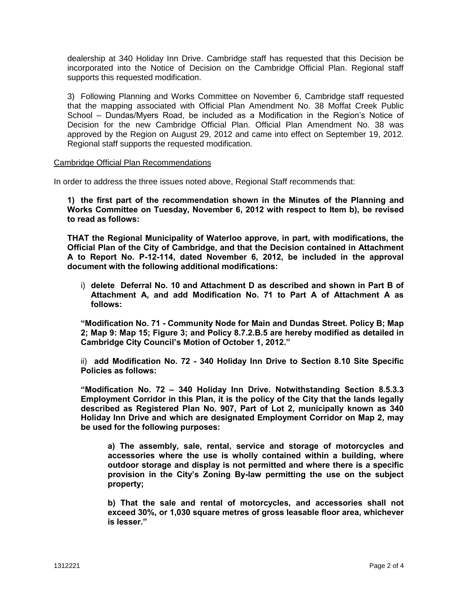dealership at 340 Holiday Inn Drive. Cambridge staff has requested that this Decision be incorporated into the Notice of Decision on the Cambridge Official Plan. Regional staff supports this requested modification.

3) Following Planning and Works Committee on November 6, Cambridge staff requested that the mapping associated with Official Plan Amendment No. 38 Moffat Creek Public School – Dundas/Myers Road, be included as a Modification in the Region's Notice of Decision for the new Cambridge Official Plan. Official Plan Amendment No. 38 was approved by the Region on August 29, 2012 and came into effect on September 19, 2012. Regional staff supports the requested modification.

#### Cambridge Official Plan Recommendations

In order to address the three issues noted above, Regional Staff recommends that:

**1) the first part of the recommendation shown in the Minutes of the Planning and Works Committee on Tuesday, November 6, 2012 with respect to Item b), be revised to read as follows:** 

**THAT the Regional Municipality of Waterloo approve, in part, with modifications, the Official Plan of the City of Cambridge, and that the Decision contained in Attachment A to Report No. P-12-114, dated November 6, 2012, be included in the approval document with the following additional modifications:** 

i) **delete Deferral No. 10 and Attachment D as described and shown in Part B of Attachment A, and add Modification No. 71 to Part A of Attachment A as follows:** 

**"Modification No. 71 - Community Node for Main and Dundas Street. Policy B; Map 2; Map 9: Map 15; Figure 3; and Policy 8.7.2.B.5 are hereby modified as detailed in Cambridge City Council's Motion of October 1, 2012."** 

ii) **add Modification No. 72 - 340 Holiday Inn Drive to Section 8.10 Site Specific Policies as follows:** 

**"Modification No. 72 – 340 Holiday Inn Drive. Notwithstanding Section 8.5.3.3 Employment Corridor in this Plan, it is the policy of the City that the lands legally described as Registered Plan No. 907, Part of Lot 2, municipally known as 340 Holiday Inn Drive and which are designated Employment Corridor on Map 2, may be used for the following purposes:** 

**a) The assembly, sale, rental, service and storage of motorcycles and accessories where the use is wholly contained within a building, where outdoor storage and display is not permitted and where there is a specific provision in the City's Zoning By-law permitting the use on the subject property;** 

**b) That the sale and rental of motorcycles, and accessories shall not exceed 30%, or 1,030 square metres of gross leasable floor area, whichever is lesser."**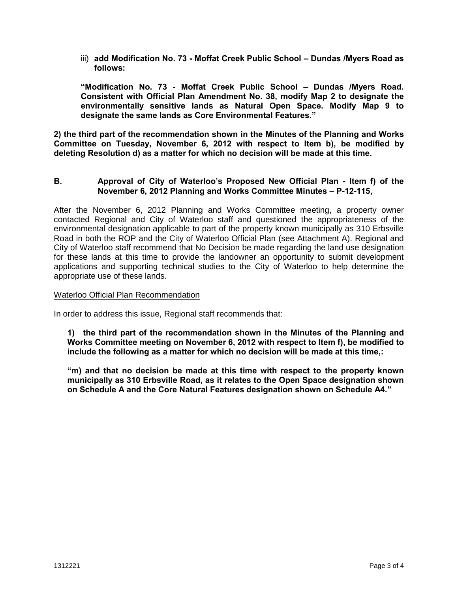iii) **add Modification No. 73 - Moffat Creek Public School – Dundas /Myers Road as follows:** 

**"Modification No. 73 - Moffat Creek Public School – Dundas /Myers Road. Consistent with Official Plan Amendment No. 38, modify Map 2 to designate the environmentally sensitive lands as Natural Open Space. Modify Map 9 to designate the same lands as Core Environmental Features."** 

**2) the third part of the recommendation shown in the Minutes of the Planning and Works Committee on Tuesday, November 6, 2012 with respect to Item b), be modified by deleting Resolution d) as a matter for which no decision will be made at this time.** 

## **B. Approval of City of Waterloo's Proposed New Official Plan - Item f) of the November 6, 2012 Planning and Works Committee Minutes – P-12-115,**

After the November 6, 2012 Planning and Works Committee meeting, a property owner contacted Regional and City of Waterloo staff and questioned the appropriateness of the environmental designation applicable to part of the property known municipally as 310 Erbsville Road in both the ROP and the City of Waterloo Official Plan (see Attachment A). Regional and City of Waterloo staff recommend that No Decision be made regarding the land use designation for these lands at this time to provide the landowner an opportunity to submit development applications and supporting technical studies to the City of Waterloo to help determine the appropriate use of these lands.

#### Waterloo Official Plan Recommendation

In order to address this issue, Regional staff recommends that:

**1) the third part of the recommendation shown in the Minutes of the Planning and Works Committee meeting on November 6, 2012 with respect to Item f), be modified to include the following as a matter for which no decision will be made at this time,:** 

**"m) and that no decision be made at this time with respect to the property known municipally as 310 Erbsville Road, as it relates to the Open Space designation shown on Schedule A and the Core Natural Features designation shown on Schedule A4."**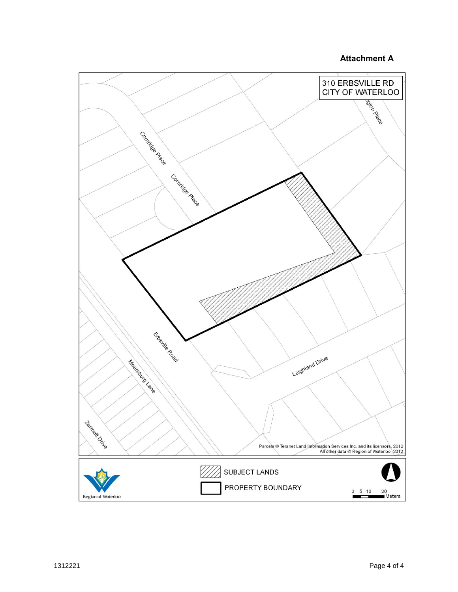## **Attachment A**

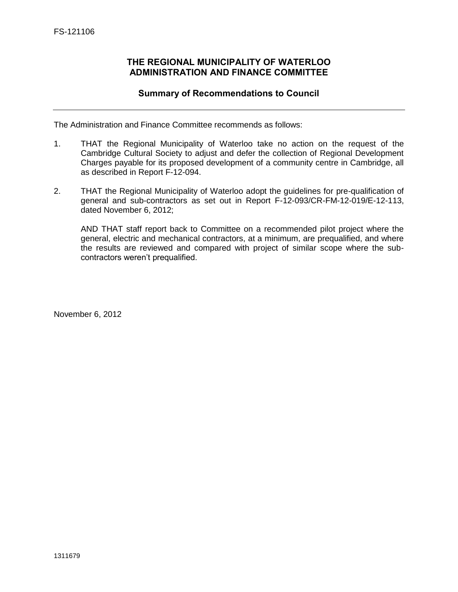## **THE REGIONAL MUNICIPALITY OF WATERLOO ADMINISTRATION AND FINANCE COMMITTEE**

## **Summary of Recommendations to Council**

<span id="page-25-0"></span>The Administration and Finance Committee recommends as follows:

- 1. THAT the Regional Municipality of Waterloo take no action on the request of the Cambridge Cultural Society to adjust and defer the collection of Regional Development Charges payable for its proposed development of a community centre in Cambridge, all as described in Report F-12-094.
- 2. THAT the Regional Municipality of Waterloo adopt the guidelines for pre-qualification of general and sub-contractors as set out in Report F-12-093/CR-FM-12-019/E-12-113, dated November 6, 2012;

AND THAT staff report back to Committee on a recommended pilot project where the general, electric and mechanical contractors, at a minimum, are prequalified, and where the results are reviewed and compared with project of similar scope where the subcontractors weren't prequalified.

November 6, 2012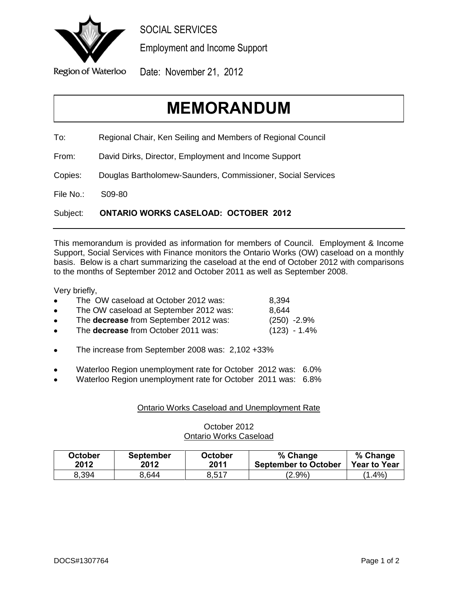<span id="page-26-0"></span>

SOCIAL SERVICES

Employment and Income Support

Date: November 21, 2012

# **MEMORANDUM**

To: Regional Chair, Ken Seiling and Members of Regional Council

From: David Dirks, Director, Employment and Income Support

Copies: Douglas Bartholomew-Saunders, Commissioner, Social Services

File No.: S09-80

Subject: **ONTARIO WORKS CASELOAD: OCTOBER 2012**

This memorandum is provided as information for members of Council. Employment & Income Support, Social Services with Finance monitors the Ontario Works (OW) caseload on a monthly basis. Below is a chart summarizing the caseload at the end of October 2012 with comparisons to the months of September 2012 and October 2011 as well as September 2008.

Very briefly,

| $\bullet$ | The OW caseload at October 2012 was:       | 8,394          |
|-----------|--------------------------------------------|----------------|
| $\bullet$ | The OW caseload at September 2012 was:     | 8.644          |
| $\bullet$ | The decrease from September 2012 was:      | $(250) -2.9%$  |
| $\bullet$ | The <b>decrease</b> from October 2011 was: | $(123) - 1.4%$ |
|           |                                            |                |

- The increase from September 2008 was: 2,102 +33%
- Waterloo Region unemployment rate for October 2012 was: 6.0%
- Waterloo Region unemployment rate for October 2011 was: 6.8%

## Ontario Works Caseload and Unemployment Rate

## October 2012 Ontario Works Caseload

| October | <b>September</b> | October | % Change                    | % Change            |
|---------|------------------|---------|-----------------------------|---------------------|
| 2012    | 2012             | 2011    | <b>September to October</b> | <b>Year to Year</b> |
| 8,394   | 3.644            | 8.517   | (2.9%)                      | $(1.4\%)$           |